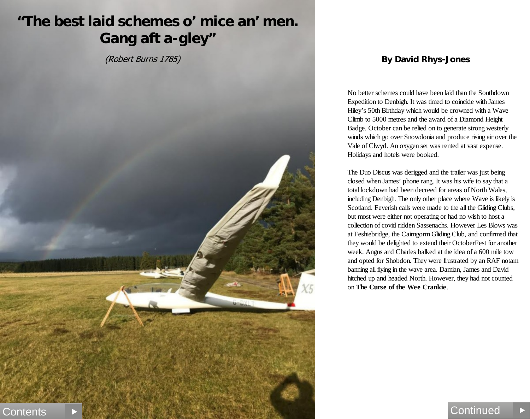(Robert Burns 1785)



#### **By David Rhys-Jones**

No better schemes could have been laid than the Southdown Expedition to Denbigh. It was timed to coincide with James Hiley's 50th Birthday which would be crowned with a Wave Climb to 5000 metres and the award of a Diamond Height Badge. October can be relied on to generate strong westerly winds which go over Snowdonia and produce rising air over the Vale of Clwyd. An oxygen set was rented at vast expense. Holidays and hotels were booked.

The Duo Discus was derigged and the trailer was just being closed when James' phone rang. It was his wife to say that a total lockdown had been decreed for areas of North Wales, including Denbigh. The only other place where Wave is likely is Scotland. Feverish calls were made to the all the Gliding Clubs, but most were either not operating or had no wish to host a collection of covid ridden Sassenachs. However Les Blows was at Feshiebridge, the Cairngorm Gliding Club, and confirmed that they would be delighted to extend their OctoberFest for another week. Angus and Charles balked at the idea of a 600 mile tow and opted for Shobdon. They were frustrated by an RAF notam banning all flying in the wave area. Damian, James and David hitched up and headed North. However, they had not counted on **The Curse of the Wee Crankie**.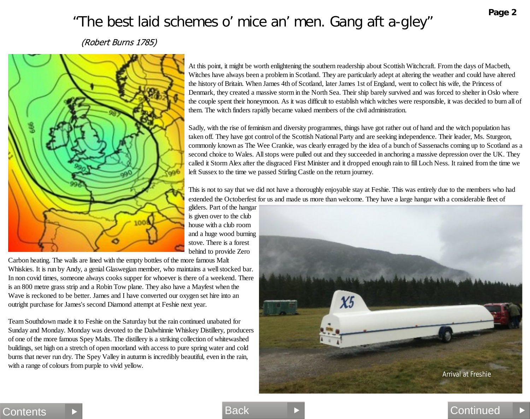(Robert Burns 1785)



At this point, it might be worth enlightening the southern readership about Scottish Witchcraft. From the days of Macbeth, Witches have always been a problem in Scotland. They are particularly adept at altering the weather and could have altered the history of Britain. When James 4th of Scotland, later James 1st of England, went to collect his wife, the Princess of Denmark, they created a massive storm in the North Sea. Their ship barely survived and was forced to shelter in Oslo where the couple spent their honeymoon. As it was difficult to establish which witches were responsible, it was decided to burn all of them. The witch finders rapidly became valued members of the civil administration.

Sadly, with the rise of feminism and diversity programmes, things have got rather out of hand and the witch population has taken off. They have got control of the Scottish National Party and are seeking independence. Their leader, Ms. Sturgeon, commonly known as The Wee Crankie, was clearly enraged by the idea of a bunch of Sassenachs coming up to Scotland as a second choice to Wales. All stops were pulled out and they succeeded in anchoring a massive depression over the UK. They called it Storm Alex after the disgraced First Minister and it dropped enough rain to fill Loch Ness. It rained from the time we left Sussex to the time we passed Stirling Castle on the return journey.

This is not to say that we did not have a thoroughly enjoyable stay at Feshie. This was entirely due to the members who had extended the Octoberfest for us and made us more than welcome. They have a large hangar with a considerable fleet of

gliders. Part of the hangar is given over to the club house with a club room and a huge wood burning stove. There is a forest behind to provide Zero

Contents ▶ Back Back And Continued

Carbon heating. The walls are lined with the empty bottles of the more famous Malt Whiskies. It is run by Andy, a genial Glaswegian member, who maintains a well stocked bar. In non covid times, someone always cooks supper for whoever is there of a weekend. There is an 800 metre grass strip and a Robin Tow plane. They also have a Mayfest when the Wave is reckoned to be better. James and I have converted our oxygen set hire into an outright purchase for James's second Diamond attempt at Feshie next year.

Team Southdown made it to Feshie on the Saturday but the rain continued unabated for Sunday and Monday. Monday was devoted to the Dalwhinnie Whiskey Distillery, producers of one of the more famous Spey Malts. The distillery is a striking collection of whitewashed buildings, set high on a stretch of open moorland with access to pure spring water and cold burns that never run dry. The Spey Valley in autumn is incredibly beautiful, even in the rain, with a range of colours from purple to vivid yellow.



**Page 2**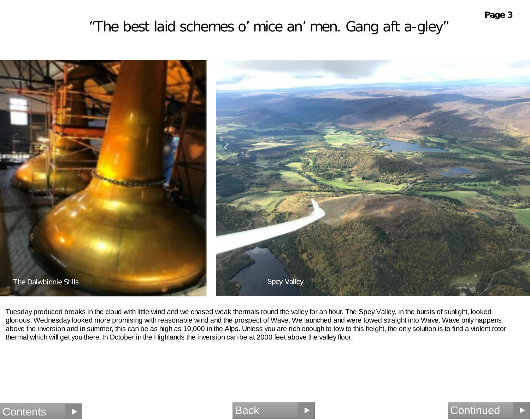

Tuesday produced breaks in the cloud with little wind and we chased weak thermals round the valley for an hour. The Spey Valley, in the bursts of sunlight, looked glorious. Wednesday looked more promising with reasonable wind and the prospect of Wave. We launched and were towed straight into Wave. Wave only happens above the inversion and in summer, this can be as high as 10,000 in the Alps. Unless you are rich enough to tow to this height, the only solution is to find a violent rotor thermal which will get you there. In October in the Highlands the inversion can be at 2000 feet above the valley floor.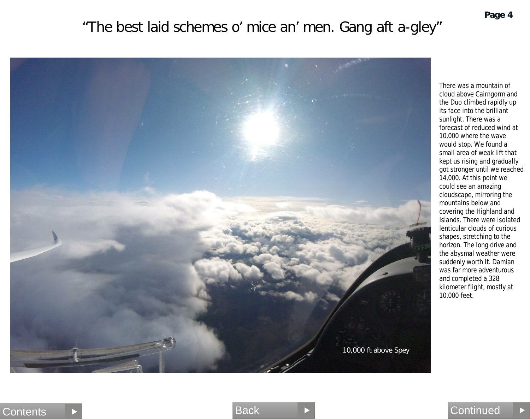

There was a mountain of cloud above Cairngorm and the Duo climbed rapidly up its face into the brilliant sunlight. There was a forecast of reduced wind at 10,000 where the wave would stop. We found a small area of weak lift that kept us rising and gradually got stronger until we reached 14,000. At this point we could see an amazing cloudscape, mirroring the mountains below and covering the Highland and Islands. There were isolated lenticular clouds of curious shapes, stretching to the horizon. The long drive and the abysmal weather were suddenly worth it. Damian was far more adventurous and completed a 328 kilometer flight, mostly at 10,000 feet.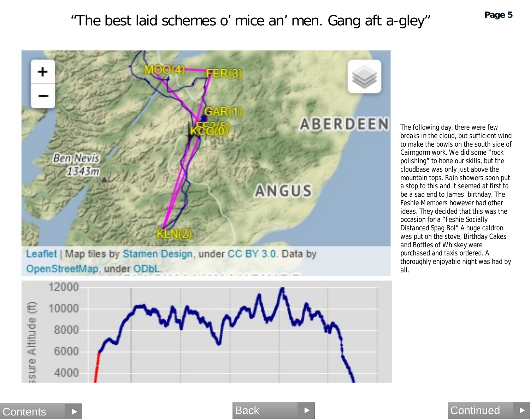

The following day, there were few breaks in the cloud, but sufficient wind to make the bowls on the south side of Cairngorm work. We did some "rock polishing" to hone our skills, but the cloudbase was only just above the mountain tops. Rain showers soon put a stop to this and it seemed at first to be a sad end to James' birthday. The Feshie Members however had other ideas. They decided that this was the occasion for a "Feshie Socially Distanced Spag Bol" A huge caldron was put on the stove, Birthday Cakes and Bottles of Whiskey were purchased and taxis ordered. A thoroughly enjoyable night was had by all.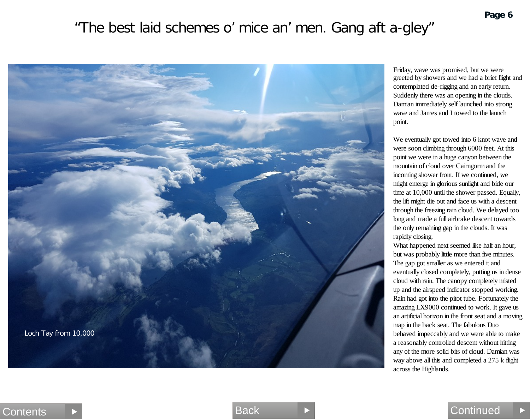

Friday, wave was promised, but we were greeted by showers and we had a brief flight and contemplated de-rigging and an early return. Suddenly there was an opening in the clouds. Damian immediately self launched into strong wave and James and I towed to the launch point.

We eventually got towed into 6 knot wave and were soon climbing through 6000 feet. At this point we were in a huge canyon between the mountain of cloud over Cairngorm and the incoming shower front. If we continued, we might emerge in glorious sunlight and bide our time at 10,000 until the shower passed. Equally, the lift might die out and face us with a descent through the freezing rain cloud. We delayed too long and made a full airbrake descent towards the only remaining gap in the clouds. It was rapidly closing.

What happened next seemed like half an hour, but was probably little more than five minutes. The gap got smaller as we entered it and eventually closed completely, putting us in dense cloud with rain. The canopy completely misted up and the airspeed indicator stopped working. Rain had got into the pitot tube. Fortunately the amazing LX9000 continued to work. It gave us an artificial horizon in the front seat and a moving map in the back seat. The fabulous Duo behaved impeccably and we were able to make a reasonably controlled descent without hitting any of the more solid bits of cloud. Damian was way above all this and completed a 275 k flight across the Highlands.